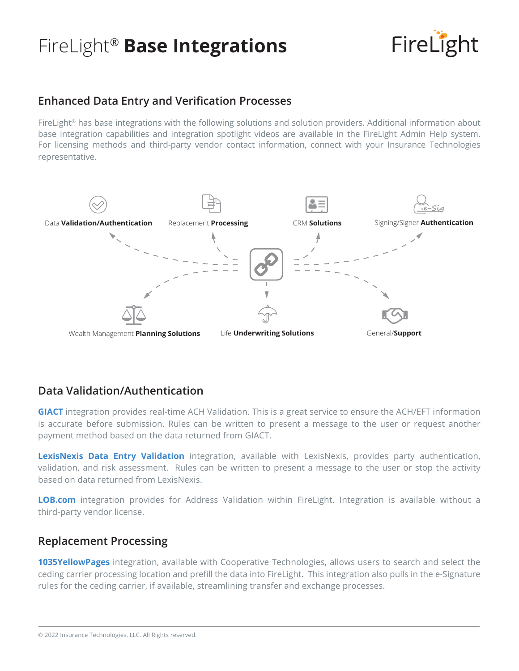## FireLight® **Base Integrations**



## **Enhanced Data Entry and Verification Processes**

FireLight® has base integrations with the following solutions and solution providers. Additional information about base integration capabilities and integration spotlight videos are available in the FireLight Admin Help system. For licensing methods and third-party vendor contact information, connect with your Insurance Technologies representative.



### **Data Validation/Authentication**

**GIACT** integration provides real-time ACH Validation. This is a great service to ensure the ACH/EFT information is accurate before submission. Rules can be written to present a message to the user or request another payment method based on the data returned from GIACT.

**LexisNexis Data Entry Validation** integration, available with LexisNexis, provides party authentication, validation, and risk assessment. Rules can be written to present a message to the user or stop the activity based on data returned from LexisNexis.

**LOB.com** integration provides for Address Validation within FireLight. Integration is available without a third-party vendor license.

#### **Replacement Processing**

**1035YellowPages** integration, available with Cooperative Technologies, allows users to search and select the ceding carrier processing location and prefill the data into FireLight. This integration also pulls in the e-Signature rules for the ceding carrier, if available, streamlining transfer and exchange processes.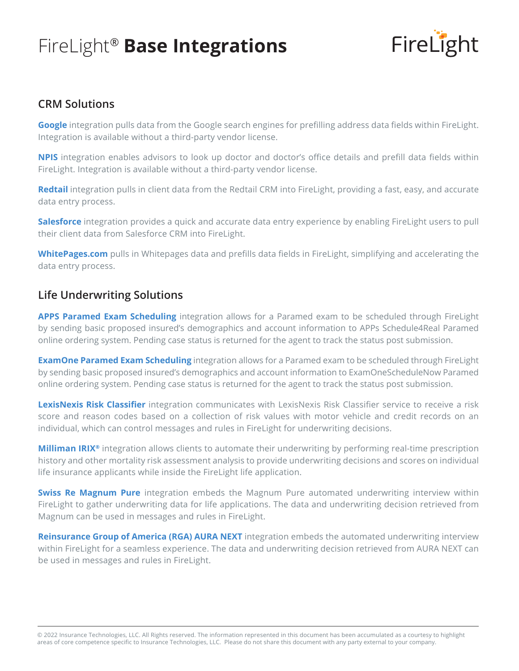## FireLight® **Base Integrations**



### **CRM Solutions**

**Google** integration pulls data from the Google search engines for prefilling address data fields within FireLight. Integration is available without a third-party vendor license.

**NPIS** integration enables advisors to look up doctor and doctor's office details and prefill data fields within FireLight. Integration is available without a third-party vendor license.

**Redtail** integration pulls in client data from the Redtail CRM into FireLight, providing a fast, easy, and accurate data entry process.

**Salesforce** integration provides a quick and accurate data entry experience by enabling FireLight users to pull their client data from Salesforce CRM into FireLight.

**WhitePages.com** pulls in Whitepages data and prefills data fields in FireLight, simplifying and accelerating the data entry process.

#### **Life Underwriting Solutions**

**APPS Paramed Exam Scheduling** integration allows for a Paramed exam to be scheduled through FireLight by sending basic proposed insured's demographics and account information to APPs Schedule4Real Paramed online ordering system. Pending case status is returned for the agent to track the status post submission.

**ExamOne Paramed Exam Scheduling** integration allows for a Paramed exam to be scheduled through FireLight by sending basic proposed insured's demographics and account information to ExamOneScheduleNow Paramed online ordering system. Pending case status is returned for the agent to track the status post submission.

**LexisNexis Risk Classifier** integration communicates with LexisNexis Risk Classifier service to receive a risk score and reason codes based on a collection of risk values with motor vehicle and credit records on an individual, which can control messages and rules in FireLight for underwriting decisions.

**Milliman IRIX®** integration allows clients to automate their underwriting by performing real-time prescription history and other mortality risk assessment analysis to provide underwriting decisions and scores on individual life insurance applicants while inside the FireLight life application.

**Swiss Re Magnum Pure** integration embeds the Magnum Pure automated underwriting interview within FireLight to gather underwriting data for life applications. The data and underwriting decision retrieved from Magnum can be used in messages and rules in FireLight.

**Reinsurance Group of America (RGA) AURA NEXT** integration embeds the automated underwriting interview within FireLight for a seamless experience. The data and underwriting decision retrieved from AURA NEXT can be used in messages and rules in FireLight.

© 2022 Insurance Technologies, LLC. All Rights reserved. The information represented in this document has been accumulated as a courtesy to highlight areas of core competence specific to Insurance Technologies, LLC. Please do not share this document with any party external to your company.